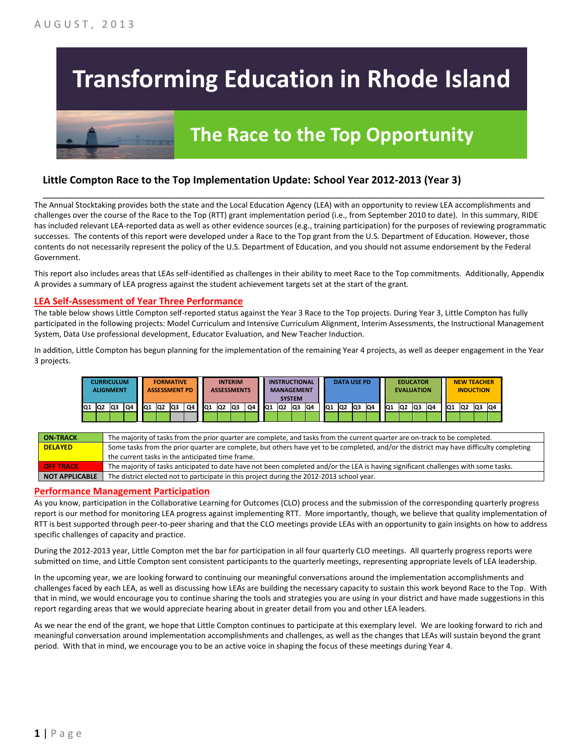# **Transforming Education in Rhode Island**

## **The Race to the Top Opportunity**

### **Little Compton Race to the Top Implementation Update: School Year 2012-2013 (Year 3)**

The Annual Stocktaking provides both the state and the Local Education Agency (LEA) with an opportunity to review LEA accomplishments and challenges over the course of the Race to the Top (RTT) grant implementation period (i.e., from September 2010 to date). In this summary, RIDE has included relevant LEA-reported data as well as other evidence sources (e.g., training participation) for the purposes of reviewing programmatic successes. The contents of this report were developed under a Race to the Top grant from the U.S. Department of Education. However, those contents do not necessarily represent the policy of the U.S. Department of Education, and you should not assume endorsement by the Federal Government.

\_\_\_\_\_\_\_\_\_\_\_\_\_\_\_\_\_\_\_\_\_\_\_\_\_\_\_\_\_\_\_\_\_\_\_\_\_\_\_\_\_\_\_\_\_\_\_\_\_\_\_\_\_\_\_\_\_\_\_\_\_\_\_\_\_\_\_\_\_\_\_\_\_\_\_\_\_\_\_\_\_\_\_\_\_\_\_\_\_\_\_\_\_\_\_\_

This report also includes areas that LEAs self-identified as challenges in their ability to meet Race to the Top commitments. Additionally, Appendix A provides a summary of LEA progress against the student achievement targets set at the start of the grant.

#### **LEA Self-Assessment of Year Three Performance**

The table below shows Little Compton self-reported status against the Year 3 Race to the Top projects. During Year 3, Little Compton has fully participated in the following projects: Model Curriculum and Intensive Curriculum Alignment, Interim Assessments, the Instructional Management System, Data Use professional development, Educator Evaluation, and New Teacher Induction.

In addition, Little Compton has begun planning for the implementation of the remaining Year 4 projects, as well as deeper engagement in the Year 3 projects.

| CURRICULUM<br><b>ALIGNMENT</b> |                |    | <b>FORMATIVE</b><br><b>ASSESSMENT PD</b> |  |     |                | <b>INTERIM</b><br><b>ASSESSMENTS</b> |    |     | <b>INSTRUCTIONAL</b><br><b>MANAGEMENT</b><br><b>SYSTEM</b> |     |    | <b>DATA USE PD</b> |                 |     | <b>EDUCATOR</b><br><b>EVALUATION</b> |    |     |                |    | <b>NEW TEACHER</b><br><b>INDUCTION</b> |                 |    |    |                 |    |     |    |
|--------------------------------|----------------|----|------------------------------------------|--|-----|----------------|--------------------------------------|----|-----|------------------------------------------------------------|-----|----|--------------------|-----------------|-----|--------------------------------------|----|-----|----------------|----|----------------------------------------|-----------------|----|----|-----------------|----|-----|----|
| IQ1                            | Q <sub>2</sub> | Q3 | Q4                                       |  | IQ1 | Q <sub>2</sub> | Q3                                   | Q4 | IQ1 | lQ <sub>2</sub>                                            | lQ3 | Q4 | IQ <sub>1</sub>    | IQ <sub>2</sub> | lQ3 | Q4                                   | Q1 | IQ2 | Q <sub>3</sub> | Q4 | IQ <sub>1</sub>                        | IQ <sub>2</sub> | Q3 | Q4 | IQ <sub>1</sub> | Q2 | lQ3 | Q4 |
|                                |                |    |                                          |  |     |                |                                      |    |     |                                                            |     |    |                    |                 |     |                                      |    |     |                |    |                                        |                 |    |    |                 |    |     |    |

| <b>ON-TRACK</b>       | The majority of tasks from the prior quarter are complete, and tasks from the current quarter are on-track to be completed.             |
|-----------------------|-----------------------------------------------------------------------------------------------------------------------------------------|
| <b>DELAYED</b>        | Some tasks from the prior quarter are complete, but others have yet to be completed, and/or the district may have difficulty completing |
|                       | the current tasks in the anticipated time frame.                                                                                        |
| <b>OFF TRACK</b>      | The majority of tasks anticipated to date have not been completed and/or the LEA is having significant challenges with some tasks.      |
| <b>NOT APPLICABLE</b> | The district elected not to participate in this project during the 2012-2013 school year.                                               |

#### **Performance Management Participation**

As you know, participation in the Collaborative Learning for Outcomes (CLO) process and the submission of the corresponding quarterly progress report is our method for monitoring LEA progress against implementing RTT. More importantly, though, we believe that quality implementation of RTT is best supported through peer-to-peer sharing and that the CLO meetings provide LEAs with an opportunity to gain insights on how to address specific challenges of capacity and practice.

During the 2012-2013 year, Little Compton met the bar for participation in all four quarterly CLO meetings. All quarterly progress reports were submitted on time, and Little Compton sent consistent participants to the quarterly meetings, representing appropriate levels of LEA leadership.

In the upcoming year, we are looking forward to continuing our meaningful conversations around the implementation accomplishments and challenges faced by each LEA, as well as discussing how LEAs are building the necessary capacity to sustain this work beyond Race to the Top. With that in mind, we would encourage you to continue sharing the tools and strategies you are using in your district and have made suggestions in this report regarding areas that we would appreciate hearing about in greater detail from you and other LEA leaders.

As we near the end of the grant, we hope that Little Compton continues to participate at this exemplary level. We are looking forward to rich and meaningful conversation around implementation accomplishments and challenges, as well as the changes that LEAs will sustain beyond the grant period. With that in mind, we encourage you to be an active voice in shaping the focus of these meetings during Year 4.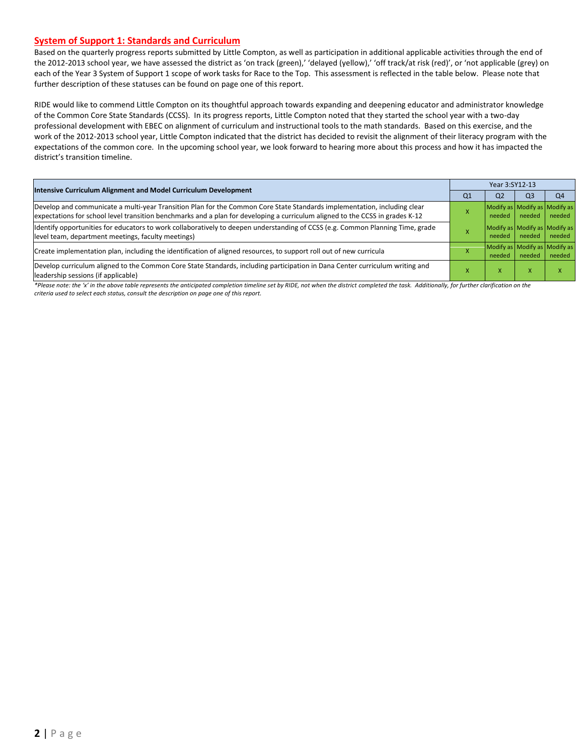#### **System of Support 1: Standards and Curriculum**

Based on the quarterly progress reports submitted by Little Compton, as well as participation in additional applicable activities through the end of the 2012-2013 school year, we have assessed the district as 'on track (green),' 'delayed (yellow),' 'off track/at risk (red)', or 'not applicable (grey) on each of the Year 3 System of Support 1 scope of work tasks for Race to the Top. This assessment is reflected in the table below. Please note that further description of these statuses can be found on page one of this report.

RIDE would like to commend Little Compton on its thoughtful approach towards expanding and deepening educator and administrator knowledge of the Common Core State Standards (CCSS). In its progress reports, Little Compton noted that they started the school year with a two-day professional development with EBEC on alignment of curriculum and instructional tools to the math standards. Based on this exercise, and the work of the 2012-2013 school year, Little Compton indicated that the district has decided to revisit the alignment of their literacy program with the expectations of the common core. In the upcoming school year, we look forward to hearing more about this process and how it has impacted the district's transition timeline.

| Intensive Curriculum Alignment and Model Curriculum Development                                                                                                                                                                                           |                | Year 3:SY12-13 |                |                                         |  |  |  |
|-----------------------------------------------------------------------------------------------------------------------------------------------------------------------------------------------------------------------------------------------------------|----------------|----------------|----------------|-----------------------------------------|--|--|--|
|                                                                                                                                                                                                                                                           | Q <sub>1</sub> | Q <sub>2</sub> | Q <sub>3</sub> | Q <sub>4</sub>                          |  |  |  |
| Develop and communicate a multi-year Transition Plan for the Common Core State Standards implementation, including clear<br>expectations for school level transition benchmarks and a plan for developing a curriculum aligned to the CCSS in grades K-12 |                | needed         | needed         | Modify as Modify as Modify as<br>needed |  |  |  |
| Identify opportunities for educators to work collaboratively to deepen understanding of CCSS (e.g. Common Planning Time, grade<br>level team, department meetings, faculty meetings)                                                                      |                | needed         | needed         | Modify as Modify as Modify as<br>needed |  |  |  |
| Create implementation plan, including the identification of aligned resources, to support roll out of new curricula                                                                                                                                       |                | needed         | needed         | Modify as Modify as Modify as<br>needed |  |  |  |
| Develop curriculum aligned to the Common Core State Standards, including participation in Dana Center curriculum writing and<br>leadership sessions (if applicable)                                                                                       |                | x              | X              |                                         |  |  |  |

*\*Please note: the 'x' in the above table represents the anticipated completion timeline set by RIDE, not when the district completed the task. Additionally, for further clarification on the criteria used to select each status, consult the description on page one of this report.*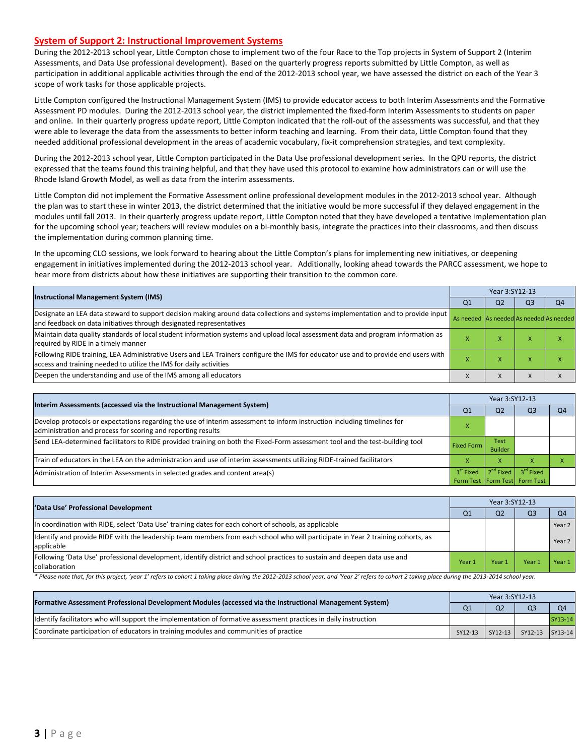#### **System of Support 2: Instructional Improvement Systems**

During the 2012-2013 school year, Little Compton chose to implement two of the four Race to the Top projects in System of Support 2 (Interim Assessments, and Data Use professional development). Based on the quarterly progress reports submitted by Little Compton, as well as participation in additional applicable activities through the end of the 2012-2013 school year, we have assessed the district on each of the Year 3 scope of work tasks for those applicable projects.

Little Compton configured the Instructional Management System (IMS) to provide educator access to both Interim Assessments and the Formative Assessment PD modules. During the 2012-2013 school year, the district implemented the fixed-form Interim Assessments to students on paper and online. In their quarterly progress update report, Little Compton indicated that the roll-out of the assessments was successful, and that they were able to leverage the data from the assessments to better inform teaching and learning. From their data, Little Compton found that they needed additional professional development in the areas of academic vocabulary, fix-it comprehension strategies, and text complexity.

During the 2012-2013 school year, Little Compton participated in the Data Use professional development series. In the QPU reports, the district expressed that the teams found this training helpful, and that they have used this protocol to examine how administrators can or will use the Rhode Island Growth Model, as well as data from the interim assessments.

Little Compton did not implement the Formative Assessment online professional development modules in the 2012-2013 school year. Although the plan was to start these in winter 2013, the district determined that the initiative would be more successful if they delayed engagement in the modules until fall 2013. In their quarterly progress update report, Little Compton noted that they have developed a tentative implementation plan for the upcoming school year; teachers will review modules on a bi-monthly basis, integrate the practices into their classrooms, and then discuss the implementation during common planning time.

In the upcoming CLO sessions, we look forward to hearing about the Little Compton's plans for implementing new initiatives, or deepening engagement in initiatives implemented during the 2012-2013 school year. Additionally, looking ahead towards the PARCC assessment, we hope to hear more from districts about how these initiatives are supporting their transition to the common core.

| <b>Instructional Management System (IMS)</b>                                                                                                                                                              |                                         | Year 3:SY12-13 |                |                |  |  |  |
|-----------------------------------------------------------------------------------------------------------------------------------------------------------------------------------------------------------|-----------------------------------------|----------------|----------------|----------------|--|--|--|
|                                                                                                                                                                                                           |                                         |                | O <sub>3</sub> | Q <sub>4</sub> |  |  |  |
| Designate an LEA data steward to support decision making around data collections and systems implementation and to provide input<br>and feedback on data initiatives through designated representatives   | As needed As needed As needed As needed |                |                |                |  |  |  |
| Maintain data quality standards of local student information systems and upload local assessment data and program information as<br>required by RIDE in a timely manner                                   |                                         | $\mathbf{v}$   |                |                |  |  |  |
| Following RIDE training, LEA Administrative Users and LEA Trainers configure the IMS for educator use and to provide end users with<br>access and training needed to utilize the IMS for daily activities |                                         | x              |                |                |  |  |  |
| Deepen the understanding and use of the IMS among all educators                                                                                                                                           |                                         | X              |                |                |  |  |  |

| Interim Assessments (accessed via the Instructional Management System)                                                                                                                  | Year 3:SY12-13                               |                               |                       |                |  |  |
|-----------------------------------------------------------------------------------------------------------------------------------------------------------------------------------------|----------------------------------------------|-------------------------------|-----------------------|----------------|--|--|
|                                                                                                                                                                                         | Q <sub>1</sub>                               | Q <sub>2</sub>                | Q <sub>3</sub>        | O <sub>4</sub> |  |  |
| Develop protocols or expectations regarding the use of interim assessment to inform instruction including timelines for<br>administration and process for scoring and reporting results |                                              |                               |                       |                |  |  |
| Send LEA-determined facilitators to RIDE provided training on both the Fixed-Form assessment tool and the test-building tool                                                            | <b>Fixed Form</b>                            | <b>Test</b><br><b>Builder</b> |                       |                |  |  |
| Train of educators in the LEA on the administration and use of interim assessments utilizing RIDE-trained facilitators                                                                  |                                              | X                             |                       |                |  |  |
| Administration of Interim Assessments in selected grades and content area(s)                                                                                                            | $1st$ Fixed<br>Form Test Form Test Form Test | $2^{nd}$ Fixed                | 3 <sup>rd</sup> Fixed |                |  |  |

| 'Data Use' Professional Development                                                                                                           |                | Year 3:SY12-13 |                |                |  |  |  |
|-----------------------------------------------------------------------------------------------------------------------------------------------|----------------|----------------|----------------|----------------|--|--|--|
|                                                                                                                                               | Q <sub>1</sub> | Q <sub>2</sub> | Q <sub>3</sub> | O <sub>4</sub> |  |  |  |
| In coordination with RIDE, select 'Data Use' training dates for each cohort of schools, as applicable                                         |                |                |                | Year 2         |  |  |  |
| Identify and provide RIDE with the leadership team members from each school who will participate in Year 2 training cohorts, as<br>applicable |                |                |                | Year 2         |  |  |  |
| Following 'Data Use' professional development, identify district and school practices to sustain and deepen data use and<br>collaboration     | Year 1         | Year 1         | Year           | Year 1         |  |  |  |

\* Please note that, for this project, 'year 1' refers to cohort 1 taking place during the 2012-2013 school year, and 'Year 2' refers to cohort 2 taking place during the 2013-2014 school year.

| [Formative Assessment Professional Development Modules (accessed via the Instructional Management System)        |         | Year 3:SY12-13 |                             |                |  |  |  |  |
|------------------------------------------------------------------------------------------------------------------|---------|----------------|-----------------------------|----------------|--|--|--|--|
|                                                                                                                  |         | Q <sub>2</sub> | O <sup>3</sup>              | O <sub>4</sub> |  |  |  |  |
| ldentify facilitators who will support the implementation of formative assessment practices in daily instruction |         |                |                             | SY13-14        |  |  |  |  |
| Coordinate participation of educators in training modules and communities of practice                            | SY12-13 |                | SY12-13   SY12-13   SY13-14 |                |  |  |  |  |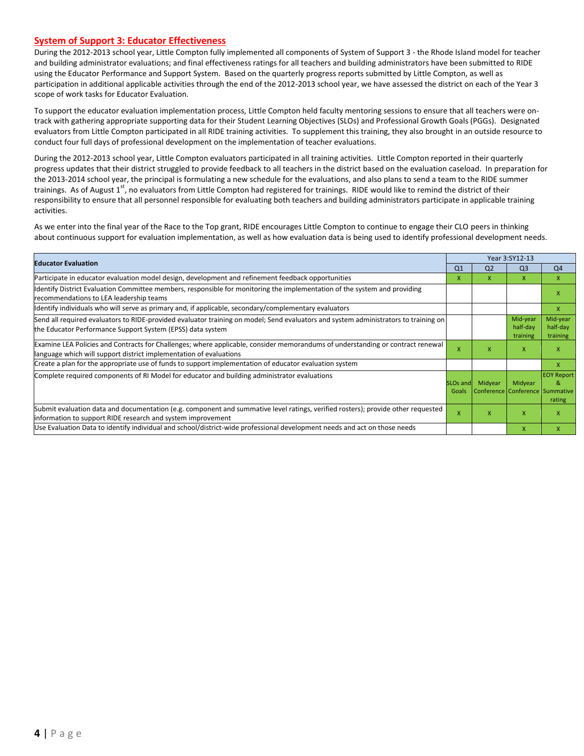#### **System of Support 3: Educator Effectiveness**

During the 2012-2013 school year, Little Compton fully implemented all components of System of Support 3 - the Rhode Island model for teacher and building administrator evaluations; and final effectiveness ratings for all teachers and building administrators have been submitted to RIDE using the Educator Performance and Support System. Based on the quarterly progress reports submitted by Little Compton, as well as participation in additional applicable activities through the end of the 2012-2013 school year, we have assessed the district on each of the Year 3 scope of work tasks for Educator Evaluation.

To support the educator evaluation implementation process, Little Compton held faculty mentoring sessions to ensure that all teachers were ontrack with gathering appropriate supporting data for their Student Learning Objectives (SLOs) and Professional Growth Goals (PGGs). Designated evaluators from Little Compton participated in all RIDE training activities. To supplement this training, they also brought in an outside resource to conduct four full days of professional development on the implementation of teacher evaluations.

During the 2012-2013 school year, Little Compton evaluators participated in all training activities. Little Compton reported in their quarterly progress updates that their district struggled to provide feedback to all teachers in the district based on the evaluation caseload. In preparation for the 2013-2014 school year, the principal is formulating a new schedule for the evaluations, and also plans to send a team to the RIDE summer trainings. As of August  $1^{st}$ , no evaluators from Little Compton had registered for trainings. RIDE would like to remind the district of their responsibility to ensure that all personnel responsible for evaluating both teachers and building administrators participate in applicable training activities.

As we enter into the final year of the Race to the Top grant, RIDE encourages Little Compton to continue to engage their CLO peers in thinking about continuous support for evaluation implementation, as well as how evaluation data is being used to identify professional development needs.

| <b>Educator Evaluation</b>                                                                                                                                                                           |                               |                | Year 3:SY12-13                             |                                  |
|------------------------------------------------------------------------------------------------------------------------------------------------------------------------------------------------------|-------------------------------|----------------|--------------------------------------------|----------------------------------|
|                                                                                                                                                                                                      | Q1                            | Q <sub>2</sub> | Q <sub>3</sub>                             | Q4                               |
| Participate in educator evaluation model design, development and refinement feedback opportunities                                                                                                   | X                             | x              | X                                          | $\mathsf{x}$                     |
| Identify District Evaluation Committee members, responsible for monitoring the implementation of the system and providing<br>recommendations to LEA leadership teams                                 |                               |                |                                            | x                                |
| ldentify individuals who will serve as primary and, if applicable, secondary/complementary evaluators                                                                                                |                               |                |                                            | $\mathsf{X}$                     |
| Send all required evaluators to RIDE-provided evaluator training on model; Send evaluators and system administrators to training on<br>the Educator Performance Support System (EPSS) data system    |                               |                | Mid-year<br>half-day<br>training           | Mid-year<br>half-day<br>training |
| Examine LEA Policies and Contracts for Challenges; where applicable, consider memorandums of understanding or contract renewal<br>language which will support district implementation of evaluations | X                             | X              | X                                          | $\mathsf{x}$                     |
| Create a plan for the appropriate use of funds to support implementation of educator evaluation system                                                                                               |                               |                |                                            | X                                |
| Complete required components of RI Model for educator and building administrator evaluations                                                                                                         | SLO <sub>s</sub> and<br>Goals | Midyear        | Midyear<br>Conference Conference Summative | <b>EOY Report</b><br>&<br>rating |
| Submit evaluation data and documentation (e.g. component and summative level ratings, verified rosters); provide other requested<br>information to support RIDE research and system improvement      | X                             | X              | $\mathsf{x}$                               | X                                |
| Use Evaluation Data to identify individual and school/district-wide professional development needs and act on those needs                                                                            |                               |                | $\mathsf{x}$                               | $\mathsf{x}$                     |